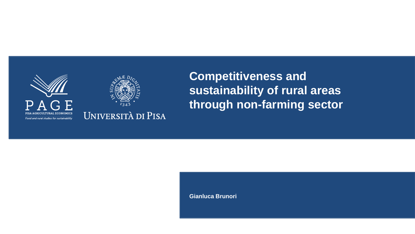



**Competitiveness and sustainability of rural areas through non-farming sector**

**Gianluca Brunori**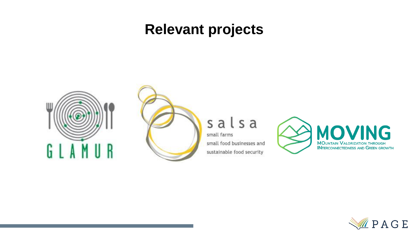### **Relevant projects**





#### salsa

small farms small food businesses and sustainable food security



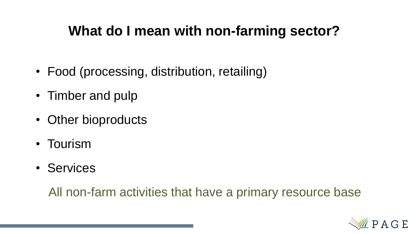### **What do I mean with non-farming sector?**

- Food (processing, distribution, retailing)
- Timber and pulp
- Other bioproducts
- Tourism
- Services

All non-farm activities that have a primary resource base

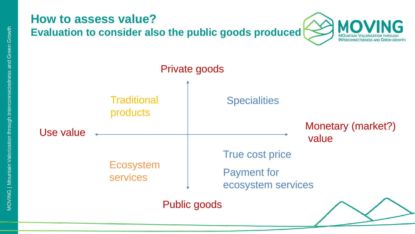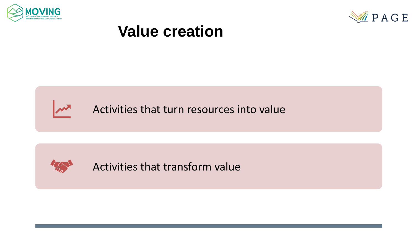



## **Value creation**

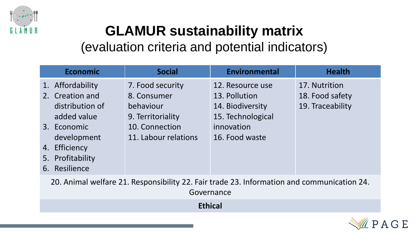

# **GLAMUR sustainability matrix**

(evaluation criteria and potential indicators)

|                                                                                            | <b>Economic</b>                | <b>Social</b>                                                                       | <b>Environmental</b>                                                                     | <b>Health</b>                                        |  |  |
|--------------------------------------------------------------------------------------------|--------------------------------|-------------------------------------------------------------------------------------|------------------------------------------------------------------------------------------|------------------------------------------------------|--|--|
| 1. Affordability<br>2. Creation and<br>3. Economic                                         | distribution of<br>added value | 7. Food security<br>8. Consumer<br>behaviour<br>9. Territoriality<br>10. Connection | 12. Resource use<br>13. Pollution<br>14. Biodiversity<br>15. Technological<br>innovation | 17. Nutrition<br>18. Food safety<br>19. Traceability |  |  |
| 4. Efficiency<br>5. Profitability<br>6. Resilience                                         | development                    | 11. Labour relations                                                                | 16. Food waste                                                                           |                                                      |  |  |
| 20. Animal welfare 21. Responsibility 22. Fair trade 23. Information and communication 24. |                                |                                                                                     |                                                                                          |                                                      |  |  |

Governance

**Ethical**

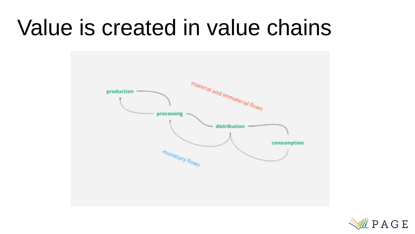# Value is created in value chains



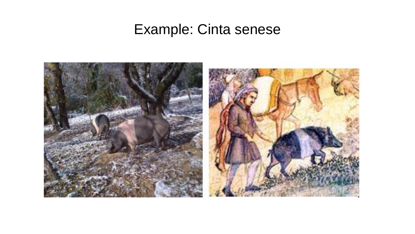### Example: Cinta senese

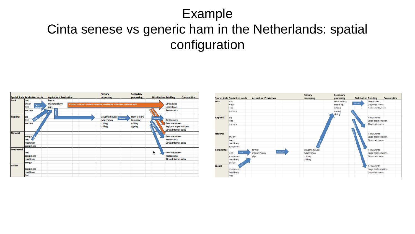#### Example

### Cinta senese vs generic ham in the Netherlands: spatial configuration



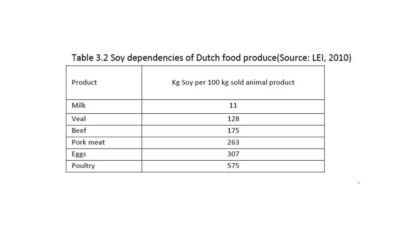#### Table 3.2 Soy dependencies of Dutch food produce(Source: LEI, 2010)

ТX.

| Product     | Kg Soy per 100 kg sold animal product |  |  |  |
|-------------|---------------------------------------|--|--|--|
| Milk        | 11                                    |  |  |  |
| Veal        | 128                                   |  |  |  |
| <b>Beef</b> | 175                                   |  |  |  |
| Pork meat   | 263                                   |  |  |  |
| Eggs        | 307                                   |  |  |  |
| Poultry     | 575                                   |  |  |  |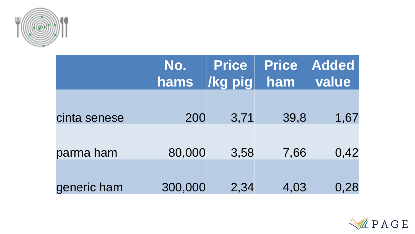

|              | No.<br>hams | <b>Price</b><br><b>/kg pig</b> | <b>Price</b><br>ham | <b>Added</b><br>value |
|--------------|-------------|--------------------------------|---------------------|-----------------------|
| cinta senese | 200         | 3,71                           | 39,8                | 1,67                  |
| parma ham    | 80,000      | 3,58                           | 7,66                | 0,42                  |
| generic ham  | 300,000     | 2,34                           | 4,03                | 0,28                  |

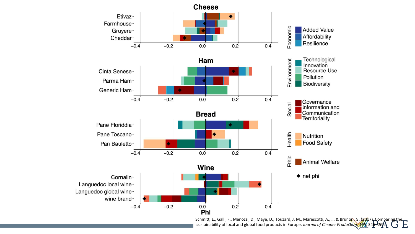

Schmitt, E., Galli, F., Menozzi, D., Maye, D., Touzard, J. M., Marescotti, A., ... & Brunori, G. (2017). Comparing the sustainability of local and global food products in Europe. *Journal of Cleaner Production*, *165*, 346-359.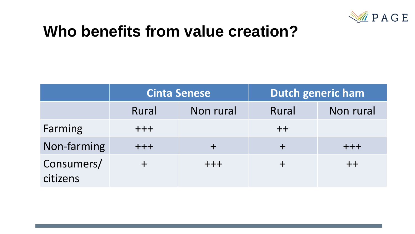

# **Who benefits from value creation?**

|                        | <b>Cinta Senese</b> |           | <b>Dutch generic ham</b> |           |
|------------------------|---------------------|-----------|--------------------------|-----------|
|                        | Rural               | Non rural | Rural                    | Non rural |
| Farming                | $+ + +$             |           | $+ +$                    |           |
| Non-farming            | $+ + +$             |           |                          | ╋╋╋       |
| Consumers/<br>citizens |                     | $+ + +$   |                          | $+ +$     |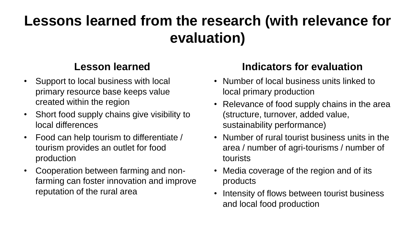## **Lessons learned from the research (with relevance for evaluation)**

#### **Lesson learned**

- Support to local business with local primary resource base keeps value created within the region
- Short food supply chains give visibility to local differences
- Food can help tourism to differentiate / tourism provides an outlet for food production
- Cooperation between farming and nonfarming can foster innovation and improve reputation of the rural area

#### **Indicators for evaluation**

- Number of local business units linked to local primary production
- Relevance of food supply chains in the area (structure, turnover, added value, sustainability performance)
- Number of rural tourist business units in the area / number of agri-tourisms / number of tourists
- Media coverage of the region and of its products
- Intensity of flows between tourist business and local food production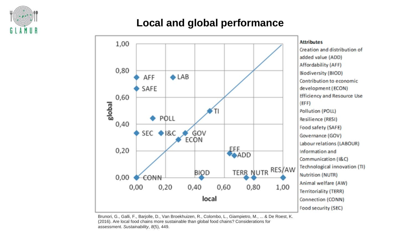

#### **Local and global performance**



Brunori, G., Galli, F., Barjolle, D., Van Broekhuizen, R., Colombo, L., Giampietro, M., ... & De Roest, K. (2016). Are local food chains more sustainable than global food chains? Considerations for assessment. *Sustainability*, *8*(5), 449.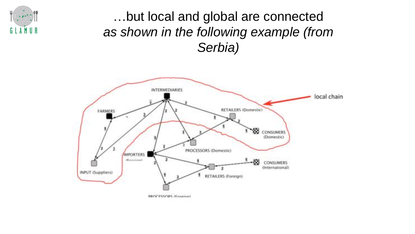

### …but local and global are connected *as shown in the following example (from Serbia)*

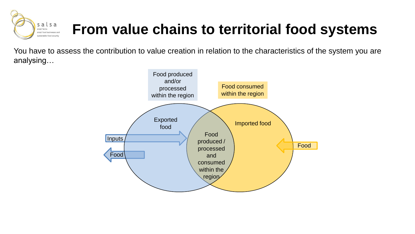

# **From value chains to territorial food systems**

You have to assess the contribution to value creation in relation to the characteristics of the system you are analysing…

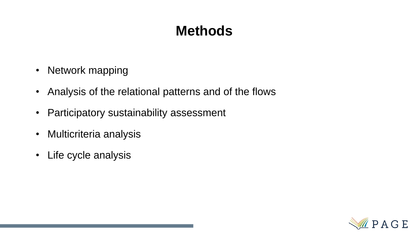### **Methods**

- Network mapping
- Analysis of the relational patterns and of the flows
- Participatory sustainability assessment
- Multicriteria analysis
- Life cycle analysis

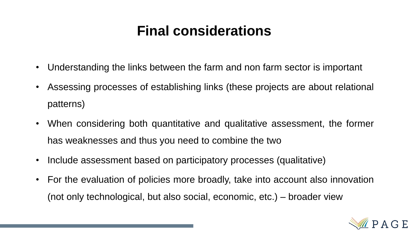### **Final considerations**

- Understanding the links between the farm and non farm sector is important
- Assessing processes of establishing links (these projects are about relational patterns)
- When considering both quantitative and qualitative assessment, the former has weaknesses and thus you need to combine the two
- Include assessment based on participatory processes (qualitative)
- For the evaluation of policies more broadly, take into account also innovation (not only technological, but also social, economic, etc.) – broader view